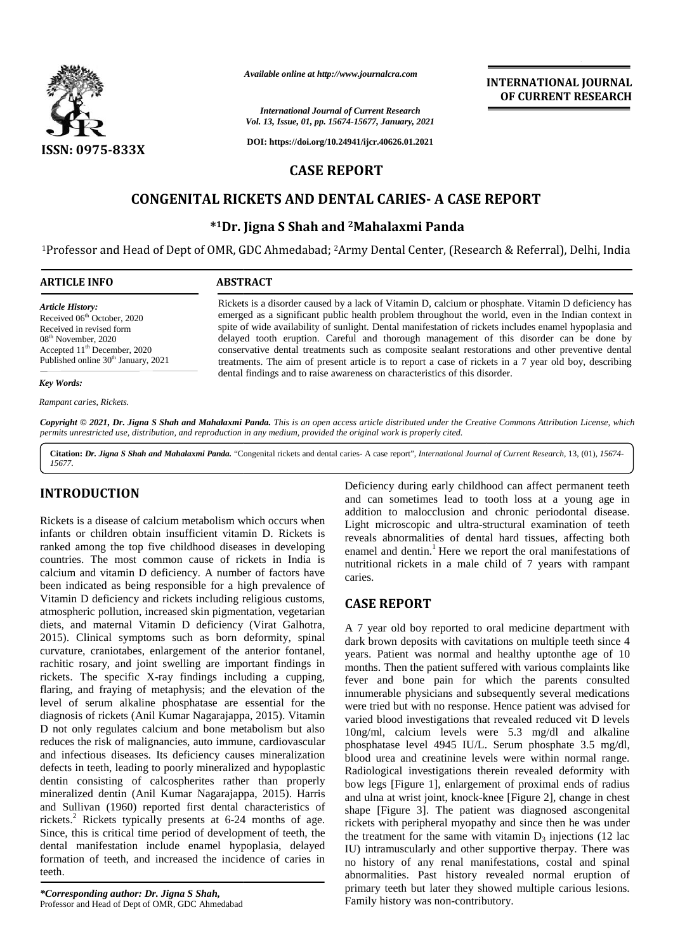

*Available online at http://www.journalcra.com*

# **CASE REPORT**

# **CONGENITAL RICKETS AND DENTAL CARIES- A CASE REPORT DENTAL CARIES-CASE**

## **\* <sup>1</sup>Dr. Jigna S Shah and <sup>2</sup>Mahalaxmi Panda \*1and**

| <b>International Journal of Current Research</b><br>Vol. 13, Issue, 01, pp. 15674-15677, January, 2021<br>DOI: https://doi.org/10.24941/ijcr.40626.01.2021<br>ISSN: 0975-833X<br><b>CASE REPORT</b><br><b>CONGENITAL RICKETS AND DENTAL CARIES- A CASE REPORT</b><br>*1Dr. Jigna S Shah and <sup>2</sup> Mahalaxmi Panda<br><sup>1</sup> Professor and Head of Dept of OMR, GDC Ahmedabad; <sup>2</sup> Army Dental Center, (Research & Referral), Delhi, India<br><b>ARTICLE INFO</b><br><b>ABSTRACT</b><br>Rickets is a disorder caused by a lack of Vitamin D, calcium or phosphate. Vitamin D deficiency has<br><b>Article History:</b><br>emerged as a significant public health problem throughout the world, even in the Indian context in<br>Received 06 <sup>th</sup> October, 2020<br>spite of wide availability of sunlight. Dental manifestation of rickets includes enamel hypoplasia and<br>Received in revised form<br>delayed tooth eruption. Careful and thorough management of this disorder can be done by<br>08 <sup>th</sup> November, 2020<br>Accepted 11 <sup>th</sup> December, 2020<br>conservative dental treatments such as composite sealant restorations and other preventive dental<br>Published online 30 <sup>th</sup> January, 2021<br>treatments. The aim of present article is to report a case of rickets in a 7 year old boy, describing<br>dental findings and to raise awareness on characteristics of this disorder.<br>Key Words:<br>Rampant caries, Rickets. | <b>INTERNATIONAL JOURNAL</b><br>OF CURRENT RESEARCH |
|--------------------------------------------------------------------------------------------------------------------------------------------------------------------------------------------------------------------------------------------------------------------------------------------------------------------------------------------------------------------------------------------------------------------------------------------------------------------------------------------------------------------------------------------------------------------------------------------------------------------------------------------------------------------------------------------------------------------------------------------------------------------------------------------------------------------------------------------------------------------------------------------------------------------------------------------------------------------------------------------------------------------------------------------------------------------------------------------------------------------------------------------------------------------------------------------------------------------------------------------------------------------------------------------------------------------------------------------------------------------------------------------------------------------------------------------------------------------------------------------------------|-----------------------------------------------------|
|                                                                                                                                                                                                                                                                                                                                                                                                                                                                                                                                                                                                                                                                                                                                                                                                                                                                                                                                                                                                                                                                                                                                                                                                                                                                                                                                                                                                                                                                                                        |                                                     |
|                                                                                                                                                                                                                                                                                                                                                                                                                                                                                                                                                                                                                                                                                                                                                                                                                                                                                                                                                                                                                                                                                                                                                                                                                                                                                                                                                                                                                                                                                                        |                                                     |
|                                                                                                                                                                                                                                                                                                                                                                                                                                                                                                                                                                                                                                                                                                                                                                                                                                                                                                                                                                                                                                                                                                                                                                                                                                                                                                                                                                                                                                                                                                        |                                                     |
|                                                                                                                                                                                                                                                                                                                                                                                                                                                                                                                                                                                                                                                                                                                                                                                                                                                                                                                                                                                                                                                                                                                                                                                                                                                                                                                                                                                                                                                                                                        |                                                     |
|                                                                                                                                                                                                                                                                                                                                                                                                                                                                                                                                                                                                                                                                                                                                                                                                                                                                                                                                                                                                                                                                                                                                                                                                                                                                                                                                                                                                                                                                                                        |                                                     |
|                                                                                                                                                                                                                                                                                                                                                                                                                                                                                                                                                                                                                                                                                                                                                                                                                                                                                                                                                                                                                                                                                                                                                                                                                                                                                                                                                                                                                                                                                                        |                                                     |
|                                                                                                                                                                                                                                                                                                                                                                                                                                                                                                                                                                                                                                                                                                                                                                                                                                                                                                                                                                                                                                                                                                                                                                                                                                                                                                                                                                                                                                                                                                        |                                                     |
|                                                                                                                                                                                                                                                                                                                                                                                                                                                                                                                                                                                                                                                                                                                                                                                                                                                                                                                                                                                                                                                                                                                                                                                                                                                                                                                                                                                                                                                                                                        |                                                     |
|                                                                                                                                                                                                                                                                                                                                                                                                                                                                                                                                                                                                                                                                                                                                                                                                                                                                                                                                                                                                                                                                                                                                                                                                                                                                                                                                                                                                                                                                                                        |                                                     |
|                                                                                                                                                                                                                                                                                                                                                                                                                                                                                                                                                                                                                                                                                                                                                                                                                                                                                                                                                                                                                                                                                                                                                                                                                                                                                                                                                                                                                                                                                                        |                                                     |
|                                                                                                                                                                                                                                                                                                                                                                                                                                                                                                                                                                                                                                                                                                                                                                                                                                                                                                                                                                                                                                                                                                                                                                                                                                                                                                                                                                                                                                                                                                        |                                                     |
| Copyright © 2021, Dr. Jigna S Shah and Mahalaxmi Panda. This is an open access article distributed under the Creative Commons Attribution License, which<br>permits unrestricted use, distribution, and reproduction in any medium, provided the original work is properly cited.                                                                                                                                                                                                                                                                                                                                                                                                                                                                                                                                                                                                                                                                                                                                                                                                                                                                                                                                                                                                                                                                                                                                                                                                                      |                                                     |

**Citation:** *Dr. Jigna S Shah and Mahalaxmi Panda.* "Congenital rickets and dental caries- A case report", *International Journal of Current Research*, 13, (01), *15674- 15677*.

### **INTRODUCTION INTRODUCTION**

Rickets is a disease of calcium metabolism which occurs when infants or children obtain insufficient vitamin D. Rickets is ranked among the top five childhood diseases in developing countries. The most common cause of rickets in India is calcium and vitamin D deficiency. A number of factors have been indicated as being responsible for a high prevalence of Vitamin D deficiency and rickets including religious customs, atmospheric pollution, increased skin pigmentation, vegetarian diets, and maternal Vitamin D deficiency (Virat Galhotra, 2015). Clinical symptoms such as born deformity, spinal curvature, craniotabes, enlargement of the anterior fontanel, rachitic rosary, and joint swelling are important findings in rickets. The specific X-ray findings including a cupping, flaring, and fraying of metaphysis; and the elevation of the level of serum alkaline phosphatase are essential for the diagnosis of rickets (Anil Kumar Nagarajappa, 2015). Vitamin D not only regulates calcium and bone metabolism but also reduces the risk of malignancies, auto immune, cardiovascular <sub>nl</sub> and infectious diseases. Its deficiency causes mineralization defects in teeth, leading to poorly mineralized and hypoplastic dentin consisting of calcospherites rather than properly mineralized dentin (Anil Kumar Nagarajappa, 2015). Harris and Sullivan (1960) reported first dental characteristics of rickets.<sup>2</sup> Rickets typically presents at  $6-24$  months of age. Since, this is critical time period of development of teeth, the dental manifestation include enamel hypoplasia, delayed formation of teeth, and increased the incidence of caries in teeth. Rickets is a disease of calcium metabolism which occurs when<br>infants or children obtain insufficient vitamin D. Rickets is<br>ranked among the top five childhood diseases in developing<br>countries. The most common cause of rick D not only regulates calcium and bone metabolism but also reduces the risk of malignancies, auto immune, cardiovascular and infectious diseases. Its deficiency causes mineralization defects in teeth, leading to poorly mine and Sullivan (1960) reported first dental characteristics of rickets.<sup>2</sup> Rickets typically presents at 6-24 months of age. Since, this is critical time period of development of teeth, the dental manifestation include ename Franch Correlation metabolism which uccurs when<br>
and duan sometimes lead to tooth loss at a young age in<br>
Richkeis is a discussed and duantical discusses in the state of the state of the state of the control of the<br>
Financ Clinical of anti-action and the *Clinical Photon Section 2* (Fig. 2021)<br>
CONGENITAL RICKETS AND DENTAL CARIES- A CASE REPORT<br>
CONGENITAL RICKETS AND DENTAL CARIES- A CASE REPORT<br>
CONGENITAL RICKETS AND DENTAL CARIES- A CA

*\*Corresponding author: Dr. Jigna S Shah, \*Corresponding Jigna* Professor and Head of Dept of OMR, GDC Ahmedabad

Deficiency during early childhood can affect permanent teeth and can sometimes lead to tooth loss at a young age in addition to malocclusion and chronic periodontal disease. Light microscopic and ultra-structural examination of teeth reveals abnormalities of dental hard tissues, affecting both enamel and dentin.<sup>1</sup> Here we report the oral manifestations of nutritional rickets in a male child of 7 years with rampant caries.

### **CASE REPORT**

A 7 year old boy reported to oral medicine department with dark brown deposits with cavitations on multiple teeth since 4 years. Patient was normal and healthy uptonthe age of 10 months. Then the patient suffered with various complaints like fever and bone pain for which the parents consulted innumerable physicians and subsequently several medications were tried but with no response. Hence patient was advised for varied blood investigations that revealed reduced vit D levels 10ng/ml, calcium levels were 5.3 mg/dl and alkaline phosphatase level 4945 IU/L. Serum phosphate 3.5 mg/dl, blood urea and creatinine levels were within normal range. Radiological investigations therein revealed deformity with bow legs [Figure 1], enlargement of proximal ends of radius and ulna at wrist joint, knock-knee [Figure 2], change in chest shape [Figure 3]. The patient was diagnosed ascongenital rickets with peripheral myopathy and since then he was under the treatment for the same with vitamin  $D_3$  injections (12 lac IU) intramuscularly and other supportive therpay. There was IU) intramuscularly and other supportive therpay. There was no history of any renal manifestations, costal and spinal abnormalities. Past history revealed normal eruption of abnormalities. Past history revealed normal eruption of primary teeth but later they showed multiple carious lesions. Family history was non-contributory. enamel and dentin.<sup>1</sup> Here we report the oral manifestations of<br>nutritional rickets in a male child of 7 years with rampant<br>caries.<br>**CASE REPORT**<br>A 7 year old boy reported to oral medicine department with<br>dark brown depos [Figure 3]. The patient was diagnosed ascongenital with peripheral myopathy and since then he was under<br>atment for the same with vitamin  $D_3$  injections (12 lac **1931 STATE AND ADVENTION AND CONTRIBUTION CONTRIBUTED STATE AND DEVITAIT CONTRIBUTED CONTRIBUTED CONTRIBUTED CONTRIBUTED CONTRIBUTED CONTRIBUTED CONTRIBUTED CONTRIBUTED STATE AND DEVITAIT CONTRIBUTED CONTRIBUTED STATE A**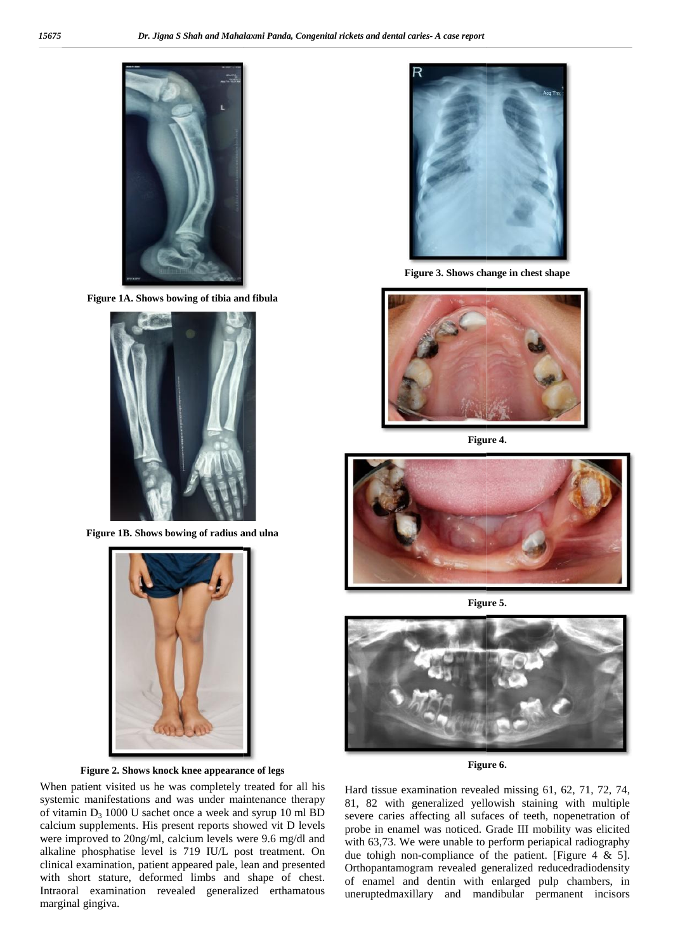

**Figure 1A. Shows bowing of tibia and fibula**



**Figure 1B. Shows bowing of radius and ulna**



#### **Figure 2. Shows knock knee appearance of legs**

When patient visited us he was completely treated for all his systemic manifestations and was under maintenance therapy of vitamin  $D_3$  1000 U sachet once a week and syrup 10 ml BD calcium supplements. His present reports showed vit D levels were improved to 20ng/ml, calcium levels were 9.6 mg/dl and alkaline phosphatise level is 719 IU/L post treatment. On clinical examination, patient appeared pale, lean and presented with short stature, deformed limbs and shape of chest. Intraoral examination revealed generalized erthamatous marginal gingiva.



**Figure 3. Shows change in chest shape**



**Figure 4.**



**Figure 5.**



**Figure 6.**

Hard tissue examination revealed missing 61, 62, 71, 72, 74, Hard tissue examination revealed missing 61, 62, 71, 72, 74, 81, 82 with generalized yellowish staining with multiple severe caries affecting all sufaces of teeth, nopenetration of probe in enamel was noticed. Grade III mobility was elicited with 63,73. We were unable to perform periapical radiography due tohigh non-compliance of the patient. [Figure  $4 \& 5$ ]. Orthopantamogram revealed generalized reducedradiodensity of enamel and dentin with enlarged pulp chambers, in uneruptedmaxillary and mandibular permanent incisors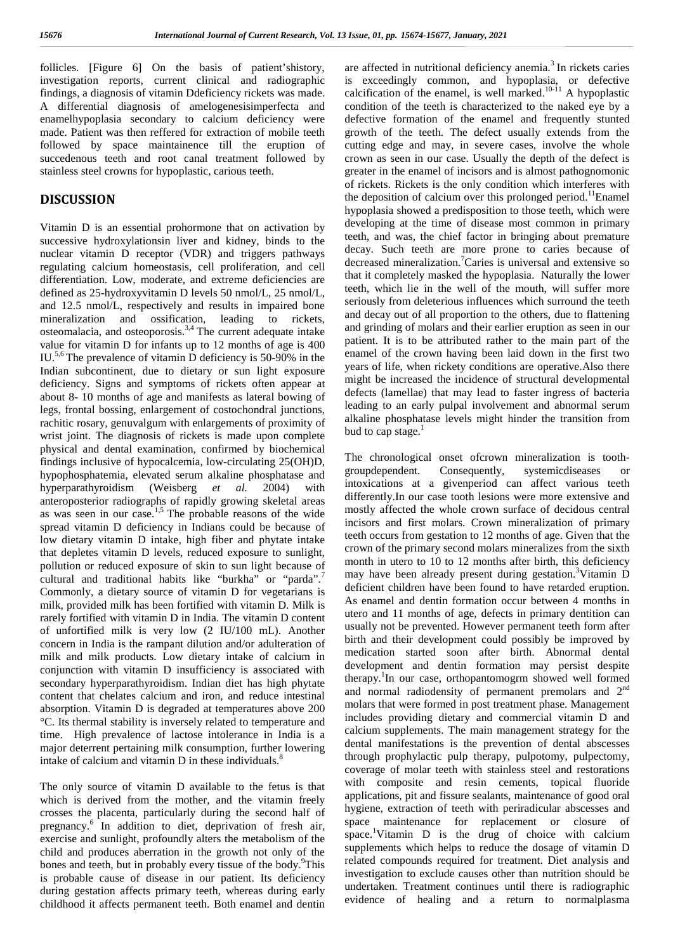follicles. [Figure 6] On the basis of patient'shistory, investigation reports, current clinical and radiographic findings, a diagnosis of vitamin Ddeficiency rickets was made. A differential diagnosis of amelogenesisimperfecta and enamelhypoplasia secondary to calcium deficiency were made. Patient was then reffered for extraction of mobile teeth followed by space maintainence till the eruption of succedenous teeth and root canal treatment followed by stainless steel crowns for hypoplastic, carious teeth.

# **DISCUSSION**

Vitamin D is an essential prohormone that on activation by successive hydroxylationsin liver and kidney, binds to the nuclear vitamin D receptor (VDR) and triggers pathways regulating calcium homeostasis, cell proliferation, and cell differentiation. Low, moderate, and extreme deficiencies are defined as 25-hydroxyvitamin D levels 50 nmol/L, 25 nmol/L, and 12.5 nmol/L, respectively and results in impaired bone mineralization and ossification, leading to rickets, osteomalacia, and osteoporosis.3,4 The current adequate intake value for vitamin D for infants up to 12 months of age is 400 IU.5,6 The prevalence of vitamin D deficiency is 50-90% in the Indian subcontinent, due to dietary or sun light exposure deficiency. Signs and symptoms of rickets often appear at about 8- 10 months of age and manifests as lateral bowing of legs, frontal bossing, enlargement of costochondral junctions, rachitic rosary, genuvalgum with enlargements of proximity of wrist joint. The diagnosis of rickets is made upon complete physical and dental examination, confirmed by biochemical findings inclusive of hypocalcemia, low-circulating 25(OH)D, <sup>The chronologic</sup><br>hypochecephatenic clauded comm ellipties phoenhatese and groundependent. hypophosphatemia, elevated serum alkaline phosphatase and hyperparathyroidism (Weisberg *et al.* 2004) with anteroposterior radiographs of rapidly growing skeletal areas as was seen in our case.<sup>1,5</sup> The probable reasons of the wide spread vitamin D deficiency in Indians could be because of low dietary vitamin D intake, high fiber and phytate intake that depletes vitamin D levels, reduced exposure to sunlight, pollution or reduced exposure of skin to sun light because of cultural and traditional habits like "burkha" or "parda".<sup>7</sup> Commonly, a dietary source of vitamin D for vegetarians is milk, provided milk has been fortified with vitamin D. Milk is rarely fortified with vitamin D in India. The vitamin D content of unfortified milk is very low (2 IU/100 mL). Another concern in India is the rampant dilution and/or adulteration of milk and milk products. Low dietary intake of calcium in conjunction with vitamin D insufficiency is associated with secondary hyperparathyroidism. Indian diet has high phytate content that chelates calcium and iron, and reduce intestinal absorption. Vitamin D is degraded at temperatures above 200 °C. Its thermal stability is inversely related to temperature and time. High prevalence of lactose intolerance in India is a major deterrent pertaining milk consumption, further lowering intake of calcium and vitamin  $D$  in these individuals.<sup>8</sup>

The only source of vitamin D available to the fetus is that which is derived from the mother, and the vitamin freely crosses the placenta, particularly during the second half of pregnancy.<sup>6</sup> In addition to diet, deprivation of fresh air, exercise and sunlight, profoundly alters the metabolism of the child and produces aberration in the growth not only of the bones and teeth, but in probably every tissue of the body.<sup>9</sup>This is probable cause of disease in our patient. Its deficiency during gestation affects primary teeth, whereas during early childhood it affects permanent teeth. Both enamel and dentin

are affected in nutritional deficiency anemia. $3$  In rickets caries is exceedingly common, and hypoplasia, or defective calcification of the enamel, is well marked.<sup>10-11</sup> A hypoplastic condition of the teeth is characterized to the naked eye by a defective formation of the enamel and frequently stunted growth of the teeth. The defect usually extends from the cutting edge and may, in severe cases, involve the whole crown as seen in our case. Usually the depth of the defect is greater in the enamel of incisors and is almost pathognomonic of rickets. Rickets is the only condition which interferes with the deposition of calcium over this prolonged period.<sup>11</sup>Enamel hypoplasia showed a predisposition to those teeth, which were developing at the time of disease most common in primary teeth, and was, the chief factor in bringing about premature decay. Such teeth are more prone to caries because of decreased mineralization.<sup>7</sup>Caries is universal and extensive so that it completely masked the hypoplasia. Naturally the lower teeth, which lie in the well of the mouth, will suffer more seriously from deleterious influences which surround the teeth and decay out of all proportion to the others, due to flattening and grinding of molars and their earlier eruption as seen in our patient. It is to be attributed rather to the main part of the enamel of the crown having been laid down in the first two years of life, when rickety conditions are operative.Also there might be increased the incidence of structural developmental defects (lamellae) that may lead to faster ingress of bacteria leading to an early pulpal involvement and abnormal serum alkaline phosphatase levels might hinder the transition from bud to cap stage. $<sup>1</sup>$ </sup>

The chronological onset ofcrown mineralization is tooth- Consequently, systemicdiseases or intoxications at a givenperiod can affect various teeth differently.In our case tooth lesions were more extensive and mostly affected the whole crown surface of decidous central incisors and first molars. Crown mineralization of primary teeth occurs from gestation to 12 months of age. Given that the crown of the primary second molars mineralizes from the sixth month in utero to 10 to 12 months after birth, this deficiency may have been already present during gestation.<sup>3</sup>Vitamin D deficient children have been found to have retarded eruption. As enamel and dentin formation occur between 4 months in utero and 11 months of age, defects in primary dentition can usually not be prevented. However permanent teeth form after birth and their development could possibly be improved by medication started soon after birth. Abnormal dental development and dentin formation may persist despite therapy.<sup>1</sup>In our case, orthopantomogrm showed well formed and normal radiodensity of permanent premolars and 2nd molars that were formed in post treatment phase. Management includes providing dietary and commercial vitamin D and calcium supplements. The main management strategy for the dental manifestations is the prevention of dental abscesses through prophylactic pulp therapy, pulpotomy, pulpectomy, coverage of molar teeth with stainless steel and restorations with composite and resin cements, topical fluoride applications, pit and fissure sealants, maintenance of good oral hygiene, extraction of teeth with periradicular abscesses and space maintenance for replacement or closure of space.<sup>1</sup>Vitamin D is the drug of choice with calcium supplements which helps to reduce the dosage of vitamin D related compounds required for treatment. Diet analysis and investigation to exclude causes other than nutrition should be undertaken. Treatment continues until there is radiographic evidence of healing and a return to normalplasma